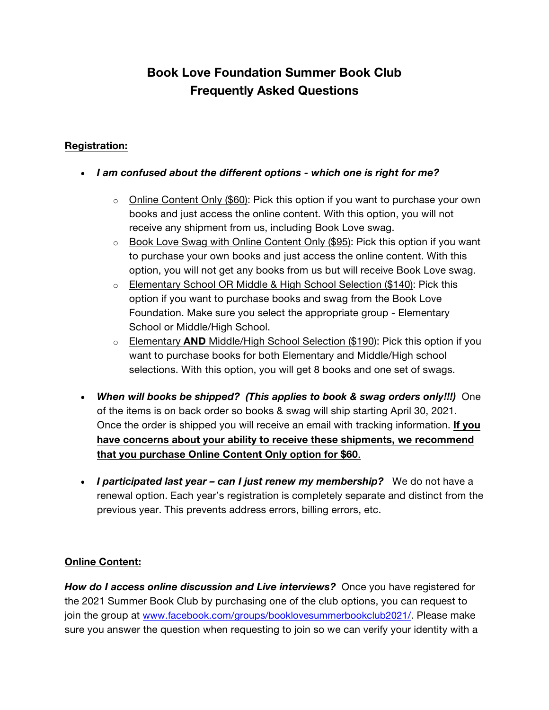# **Book Love Foundation Summer Book Club Frequently Asked Questions**

## **Registration:**

#### • *I am confused about the different options - which one is right for me?*

- $\circ$  Online Content Only (\$60): Pick this option if you want to purchase your own books and just access the online content. With this option, you will not receive any shipment from us, including Book Love swag.
- $\circ$  Book Love Swag with Online Content Only (\$95): Pick this option if you want to purchase your own books and just access the online content. With this option, you will not get any books from us but will receive Book Love swag.
- o Elementary School OR Middle & High School Selection (\$140): Pick this option if you want to purchase books and swag from the Book Love Foundation. Make sure you select the appropriate group - Elementary School or Middle/High School.
- o Elementary **AND** Middle/High School Selection (\$190): Pick this option if you want to purchase books for both Elementary and Middle/High school selections. With this option, you will get 8 books and one set of swags.
- *When will books be shipped? (This applies to book & swag orders only!!!)* One of the items is on back order so books & swag will ship starting April 30, 2021. Once the order is shipped you will receive an email with tracking information. **If you have concerns about your ability to receive these shipments, we recommend that you purchase Online Content Only option for \$60**.
- *I participated last year – can I just renew my membership?* We do not have a renewal option. Each year's registration is completely separate and distinct from the previous year. This prevents address errors, billing errors, etc.

### **Online Content:**

**How do I access online discussion and Live interviews?** Once you have registered for the 2021 Summer Book Club by purchasing one of the club options, you can request to join the group at www.facebook.com/groups/booklovesummerbookclub2021/. Please make sure you answer the question when requesting to join so we can verify your identity with a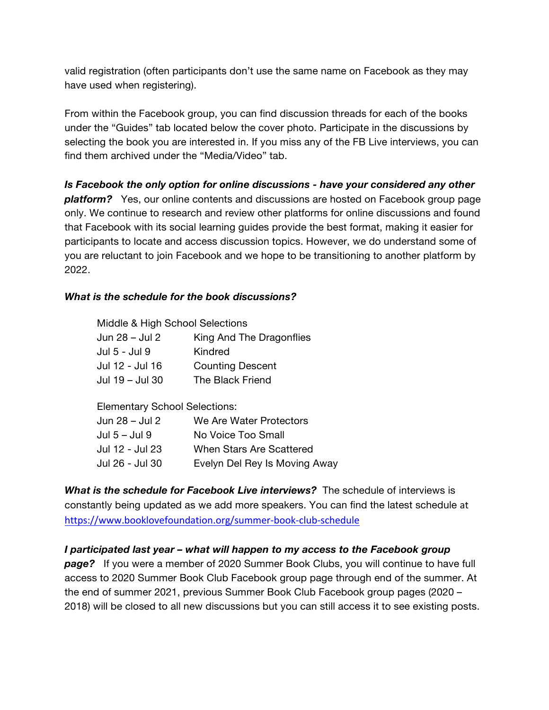valid registration (often participants don't use the same name on Facebook as they may have used when registering).

From within the Facebook group, you can find discussion threads for each of the books under the "Guides" tab located below the cover photo. Participate in the discussions by selecting the book you are interested in. If you miss any of the FB Live interviews, you can find them archived under the "Media/Video" tab.

*Is Facebook the only option for online discussions - have your considered any other platform?* Yes, our online contents and discussions are hosted on Facebook group page only. We continue to research and review other platforms for online discussions and found that Facebook with its social learning guides provide the best format, making it easier for participants to locate and access discussion topics. However, we do understand some of you are reluctant to join Facebook and we hope to be transitioning to another platform by 2022.

#### *What is the schedule for the book discussions?*

| Middle & High School Selections      |                                        |  |
|--------------------------------------|----------------------------------------|--|
| Jun 28 - Jul 2                       | King And The Dragonflies               |  |
| Jul 5 - Jul 9                        | Kindred                                |  |
| Jul 12 - Jul 16                      | <b>Counting Descent</b>                |  |
| Jul 19 – Jul 30                      | The Black Friend                       |  |
|                                      |                                        |  |
| <b>Elementary School Selections:</b> |                                        |  |
|                                      | Jun 28 – Jul 2 Me Are Water Protectors |  |

| Jun 28 – Jul 2  | We Are Water Protectors       |
|-----------------|-------------------------------|
| Jul 5 – Jul 9   | No Voice Too Small            |
| Jul 12 - Jul 23 | When Stars Are Scattered      |
| Jul 26 - Jul 30 | Evelyn Del Rey Is Moving Away |

*What is the schedule for Facebook Live interviews?* The schedule of interviews is constantly being updated as we add more speakers. You can find the latest schedule at https://www.booklovefoundation.org/summer-book-club-schedule

### *I participated last year – what will happen to my access to the Facebook group*

*page?* If you were a member of 2020 Summer Book Clubs, you will continue to have full access to 2020 Summer Book Club Facebook group page through end of the summer. At the end of summer 2021, previous Summer Book Club Facebook group pages (2020 – 2018) will be closed to all new discussions but you can still access it to see existing posts.